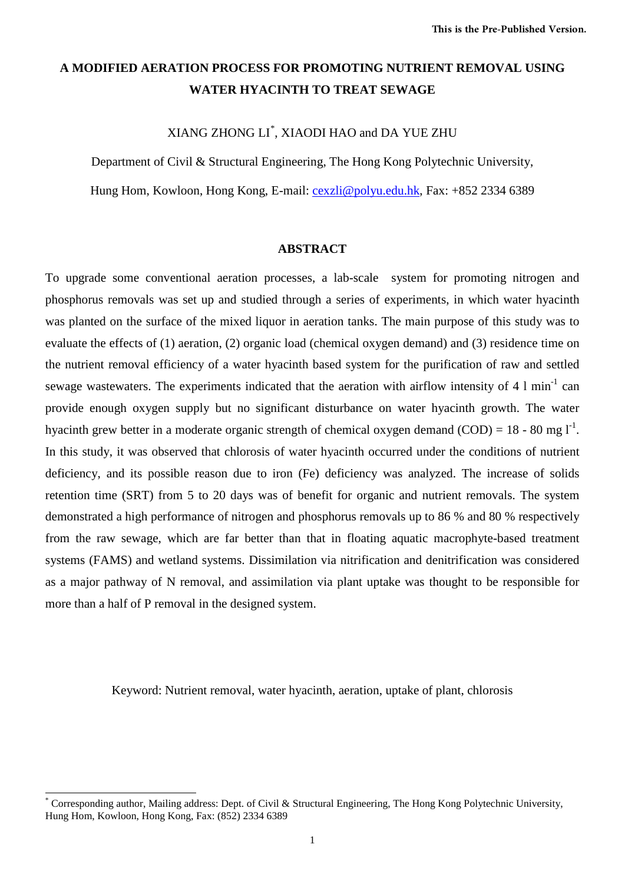# **A MODIFIED AERATION PROCESS FOR PROMOTING NUTRIENT REMOVAL USING WATER HYACINTH TO TREAT SEWAGE**

XIANG ZHONG LI[\\*](#page-0-0) , XIAODI HAO and DA YUE ZHU

Department of Civil & Structural Engineering, The Hong Kong Polytechnic University,

Hung Hom, Kowloon, Hong Kong, E-mail: <u>cexzli@polyu.edu.hk</u>, Fax: +852 2334 6389

#### **ABSTRACT**

To upgrade some conventional aeration processes, a lab-scale system for promoting nitrogen and phosphorus removals was set up and studied through a series of experiments, in which water hyacinth was planted on the surface of the mixed liquor in aeration tanks. The main purpose of this study was to evaluate the effects of (1) aeration, (2) organic load (chemical oxygen demand) and (3) residence time on the nutrient removal efficiency of a water hyacinth based system for the purification of raw and settled sewage wastewaters. The experiments indicated that the aeration with airflow intensity of 4 l min<sup>-1</sup> can provide enough oxygen supply but no significant disturbance on water hyacinth growth. The water hyacinth grew better in a moderate organic strength of chemical oxygen demand  $(COD) = 18$  - 80 mg  $1<sup>-1</sup>$ . In this study, it was observed that chlorosis of water hyacinth occurred under the conditions of nutrient deficiency, and its possible reason due to iron (Fe) deficiency was analyzed. The increase of solids retention time (SRT) from 5 to 20 days was of benefit for organic and nutrient removals. The system demonstrated a high performance of nitrogen and phosphorus removals up to 86 % and 80 % respectively from the raw sewage, which are far better than that in floating aquatic macrophyte-based treatment systems (FAMS) and wetland systems. Dissimilation via nitrification and denitrification was considered as a major pathway of N removal, and assimilation via plant uptake was thought to be responsible for more than a half of P removal in the designed system.

Keyword: Nutrient removal, water hyacinth, aeration, uptake of plant, chlorosis

 $\overline{a}$ 

<span id="page-0-0"></span>Corresponding author, Mailing address: Dept. of Civil & Structural Engineering, The Hong Kong Polytechnic University, Hung Hom, Kowloon, Hong Kong, Fax: (852) 2334 6389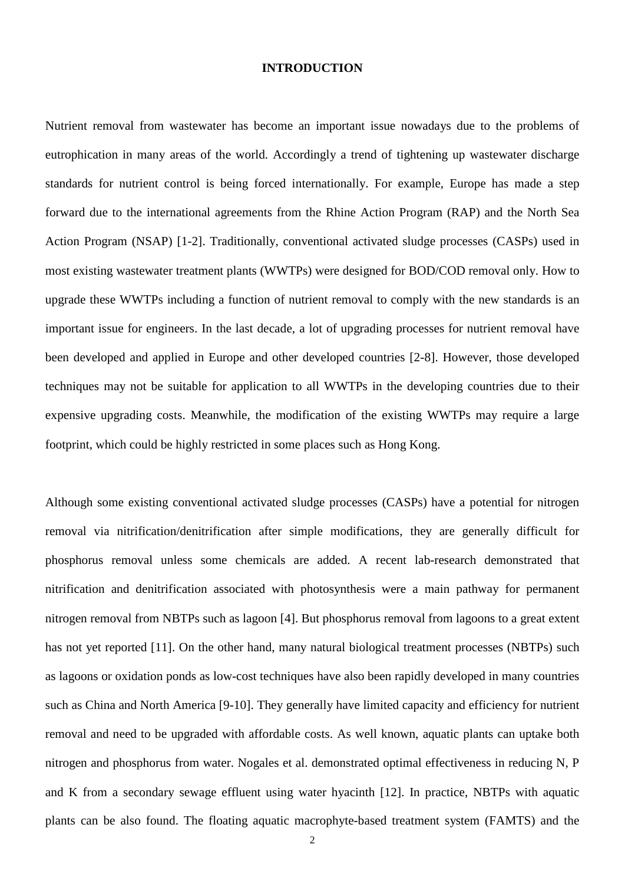#### **INTRODUCTION**

Nutrient removal from wastewater has become an important issue nowadays due to the problems of eutrophication in many areas of the world. Accordingly a trend of tightening up wastewater discharge standards for nutrient control is being forced internationally. For example, Europe has made a step forward due to the international agreements from the Rhine Action Program (RAP) and the North Sea Action Program (NSAP) [1-2]. Traditionally, conventional activated sludge processes (CASPs) used in most existing wastewater treatment plants (WWTPs) were designed for BOD/COD removal only. How to upgrade these WWTPs including a function of nutrient removal to comply with the new standards is an important issue for engineers. In the last decade, a lot of upgrading processes for nutrient removal have been developed and applied in Europe and other developed countries [2-8]. However, those developed techniques may not be suitable for application to all WWTPs in the developing countries due to their expensive upgrading costs. Meanwhile, the modification of the existing WWTPs may require a large footprint, which could be highly restricted in some places such as Hong Kong.

Although some existing conventional activated sludge processes (CASPs) have a potential for nitrogen removal via nitrification/denitrification after simple modifications, they are generally difficult for phosphorus removal unless some chemicals are added. A recent lab-research demonstrated that nitrification and denitrification associated with photosynthesis were a main pathway for permanent nitrogen removal from NBTPs such as lagoon [4]. But phosphorus removal from lagoons to a great extent has not yet reported [11]. On the other hand, many natural biological treatment processes (NBTPs) such as lagoons or oxidation ponds as low-cost techniques have also been rapidly developed in many countries such as China and North America [9-10]. They generally have limited capacity and efficiency for nutrient removal and need to be upgraded with affordable costs. As well known, aquatic plants can uptake both nitrogen and phosphorus from water. Nogales et al. demonstrated optimal effectiveness in reducing N, P and K from a secondary sewage effluent using water hyacinth [12]. In practice, NBTPs with aquatic plants can be also found. The floating aquatic macrophyte-based treatment system (FAMTS) and the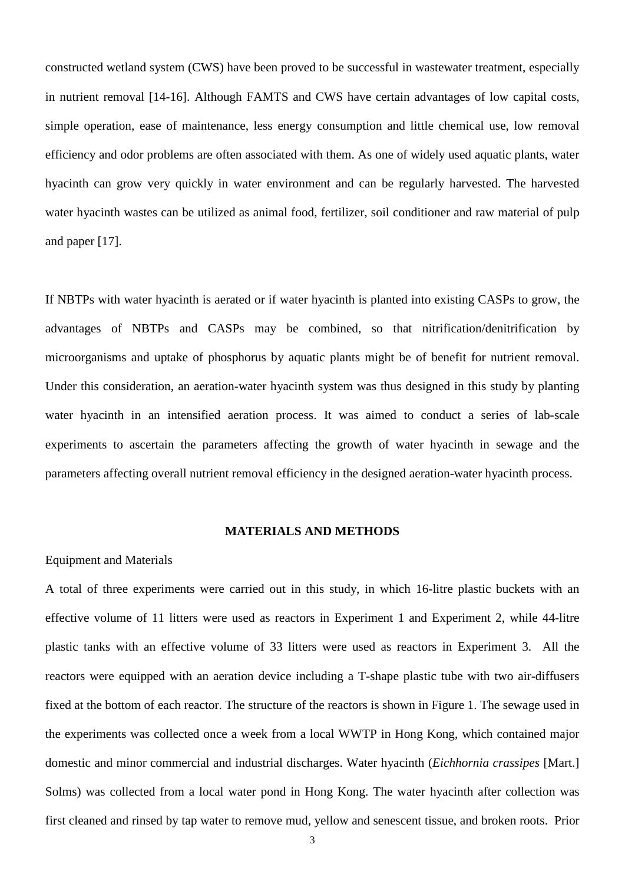constructed wetland system (CWS) have been proved to be successful in wastewater treatment, especially in nutrient removal [14-16]. Although FAMTS and CWS have certain advantages of low capital costs, simple operation, ease of maintenance, less energy consumption and little chemical use, low removal efficiency and odor problems are often associated with them. As one of widely used aquatic plants, water hyacinth can grow very quickly in water environment and can be regularly harvested. The harvested water hyacinth wastes can be utilized as animal food, fertilizer, soil conditioner and raw material of pulp and paper [17].

If NBTPs with water hyacinth is aerated or if water hyacinth is planted into existing CASPs to grow, the advantages of NBTPs and CASPs may be combined, so that nitrification/denitrification by microorganisms and uptake of phosphorus by aquatic plants might be of benefit for nutrient removal. Under this consideration, an aeration-water hyacinth system was thus designed in this study by planting water hyacinth in an intensified aeration process. It was aimed to conduct a series of lab-scale experiments to ascertain the parameters affecting the growth of water hyacinth in sewage and the parameters affecting overall nutrient removal efficiency in the designed aeration-water hyacinth process.

#### **MATERIALS AND METHODS**

#### Equipment and Materials

A total of three experiments were carried out in this study, in which 16-litre plastic buckets with an effective volume of 11 litters were used as reactors in Experiment 1 and Experiment 2, while 44-litre plastic tanks with an effective volume of 33 litters were used as reactors in Experiment 3. All the reactors were equipped with an aeration device including a T-shape plastic tube with two air-diffusers fixed at the bottom of each reactor. The structure of the reactors is shown in Figure 1. The sewage used in the experiments was collected once a week from a local WWTP in Hong Kong, which contained major domestic and minor commercial and industrial discharges. Water hyacinth (*Eichhornia crassipes* [Mart.] Solms) was collected from a local water pond in Hong Kong. The water hyacinth after collection was first cleaned and rinsed by tap water to remove mud, yellow and senescent tissue, and broken roots. Prior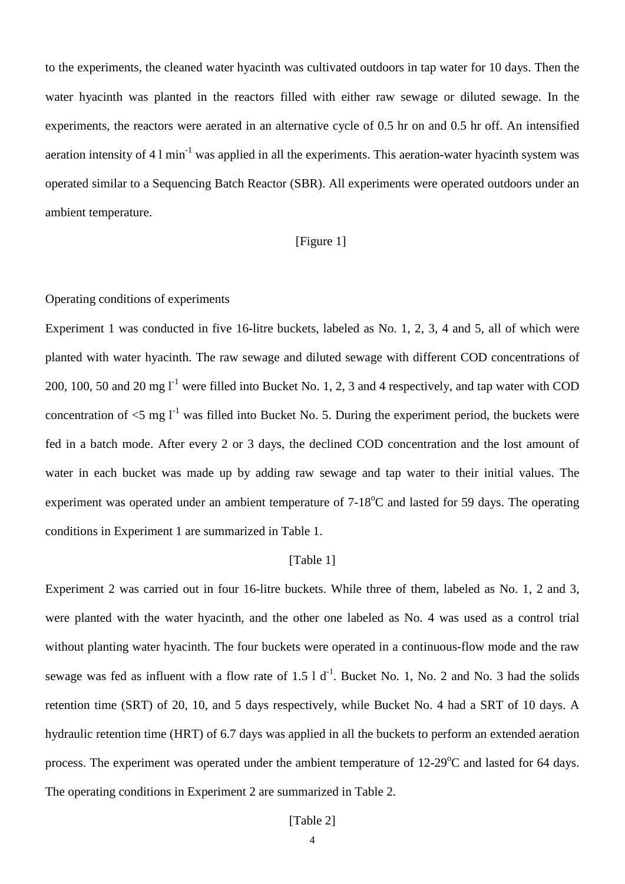to the experiments, the cleaned water hyacinth was cultivated outdoors in tap water for 10 days. Then the water hyacinth was planted in the reactors filled with either raw sewage or diluted sewage. In the experiments, the reactors were aerated in an alternative cycle of 0.5 hr on and 0.5 hr off. An intensified aeration intensity of 4 l min<sup>-1</sup> was applied in all the experiments. This aeration-water hyacinth system was operated similar to a Sequencing Batch Reactor (SBR). All experiments were operated outdoors under an ambient temperature.

## [Figure 1]

## Operating conditions of experiments

Experiment 1 was conducted in five 16-litre buckets, labeled as No. 1, 2, 3, 4 and 5, all of which were planted with water hyacinth. The raw sewage and diluted sewage with different COD concentrations of 200, 100, 50 and 20 mg  $I^1$  were filled into Bucket No. 1, 2, 3 and 4 respectively, and tap water with COD concentration of  $\leq 5$  mg l<sup>-1</sup> was filled into Bucket No. 5. During the experiment period, the buckets were fed in a batch mode. After every 2 or 3 days, the declined COD concentration and the lost amount of water in each bucket was made up by adding raw sewage and tap water to their initial values. The experiment was operated under an ambient temperature of  $7-18^{\circ}$ C and lasted for 59 days. The operating conditions in Experiment 1 are summarized in Table 1.

#### [Table 1]

Experiment 2 was carried out in four 16-litre buckets. While three of them, labeled as No. 1, 2 and 3, were planted with the water hyacinth, and the other one labeled as No. 4 was used as a control trial without planting water hyacinth. The four buckets were operated in a continuous-flow mode and the raw sewage was fed as influent with a flow rate of  $1.5 \, 1 \, \mathrm{d}^{-1}$ . Bucket No. 1, No. 2 and No. 3 had the solids retention time (SRT) of 20, 10, and 5 days respectively, while Bucket No. 4 had a SRT of 10 days. A hydraulic retention time (HRT) of 6.7 days was applied in all the buckets to perform an extended aeration process. The experiment was operated under the ambient temperature of  $12{\text -}29^{\circ}\text{C}$  and lasted for 64 days. The operating conditions in Experiment 2 are summarized in Table 2.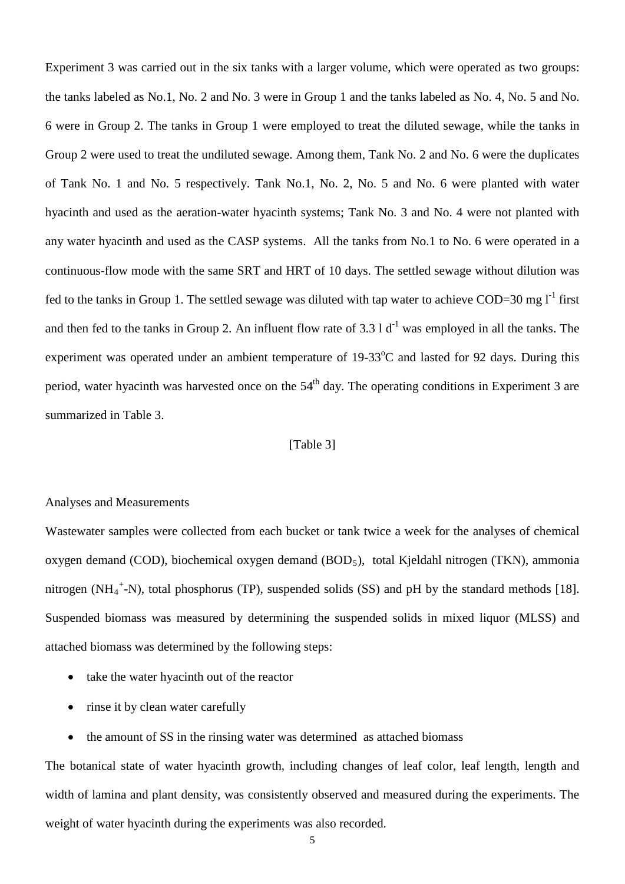Experiment 3 was carried out in the six tanks with a larger volume, which were operated as two groups: the tanks labeled as No.1, No. 2 and No. 3 were in Group 1 and the tanks labeled as No. 4, No. 5 and No. 6 were in Group 2. The tanks in Group 1 were employed to treat the diluted sewage, while the tanks in Group 2 were used to treat the undiluted sewage. Among them, Tank No. 2 and No. 6 were the duplicates of Tank No. 1 and No. 5 respectively. Tank No.1, No. 2, No. 5 and No. 6 were planted with water hyacinth and used as the aeration-water hyacinth systems; Tank No. 3 and No. 4 were not planted with any water hyacinth and used as the CASP systems. All the tanks from No.1 to No. 6 were operated in a continuous-flow mode with the same SRT and HRT of 10 days. The settled sewage without dilution was fed to the tanks in Group 1. The settled sewage was diluted with tap water to achieve COD=30 mg  $l^{-1}$  first and then fed to the tanks in Group 2. An influent flow rate of  $3.3 \mathrm{1} \mathrm{d}^{-1}$  was employed in all the tanks. The experiment was operated under an ambient temperature of  $19-33^{\circ}$ C and lasted for 92 days. During this period, water hyacinth was harvested once on the  $54<sup>th</sup>$  day. The operating conditions in Experiment 3 are summarized in Table 3.

## [Table 3]

#### Analyses and Measurements

Wastewater samples were collected from each bucket or tank twice a week for the analyses of chemical oxygen demand (COD), biochemical oxygen demand  $(BOD_5)$ , total Kjeldahl nitrogen (TKN), ammonia nitrogen (NH<sub>4</sub><sup>+</sup>-N), total phosphorus (TP), suspended solids (SS) and pH by the standard methods [18]. Suspended biomass was measured by determining the suspended solids in mixed liquor (MLSS) and attached biomass was determined by the following steps:

- take the water hyacinth out of the reactor
- rinse it by clean water carefully
- the amount of SS in the rinsing water was determined as attached biomass

The botanical state of water hyacinth growth, including changes of leaf color, leaf length, length and width of lamina and plant density, was consistently observed and measured during the experiments. The weight of water hyacinth during the experiments was also recorded.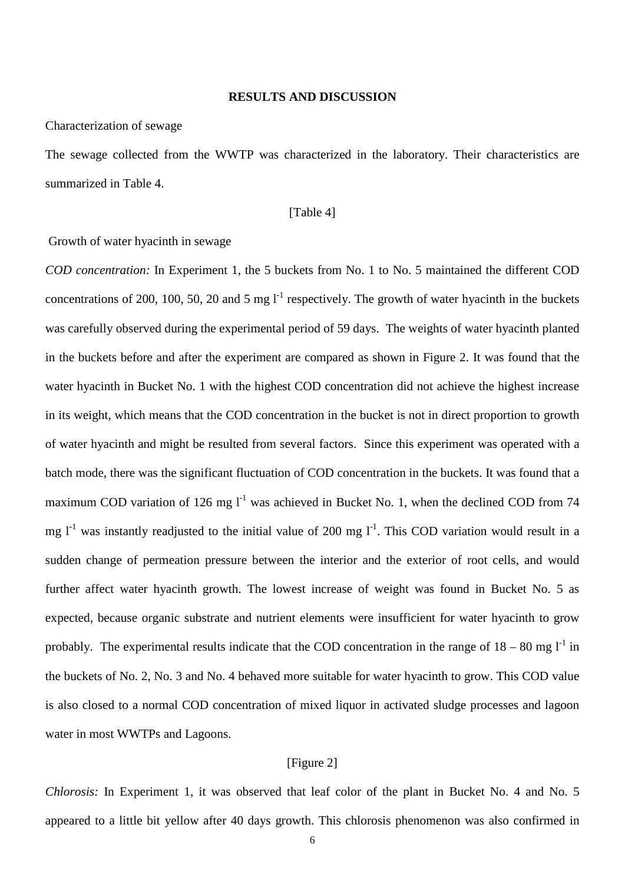#### **RESULTS AND DISCUSSION**

Characterization of sewage

The sewage collected from the WWTP was characterized in the laboratory. Their characteristics are summarized in Table 4.

### [Table 4]

### Growth of water hyacinth in sewage

*COD concentration:* In Experiment 1, the 5 buckets from No. 1 to No. 5 maintained the different COD concentrations of 200, 100, 50, 20 and 5 mg  $I<sup>-1</sup>$  respectively. The growth of water hyacinth in the buckets was carefully observed during the experimental period of 59 days. The weights of water hyacinth planted in the buckets before and after the experiment are compared as shown in Figure 2. It was found that the water hyacinth in Bucket No. 1 with the highest COD concentration did not achieve the highest increase in its weight, which means that the COD concentration in the bucket is not in direct proportion to growth of water hyacinth and might be resulted from several factors. Since this experiment was operated with a batch mode, there was the significant fluctuation of COD concentration in the buckets. It was found that a maximum COD variation of 126 mg  $l^{-1}$  was achieved in Bucket No. 1, when the declined COD from 74 mg  $I<sup>-1</sup>$  was instantly readjusted to the initial value of 200 mg  $I<sup>-1</sup>$ . This COD variation would result in a sudden change of permeation pressure between the interior and the exterior of root cells, and would further affect water hyacinth growth. The lowest increase of weight was found in Bucket No. 5 as expected, because organic substrate and nutrient elements were insufficient for water hyacinth to grow probably. The experimental results indicate that the COD concentration in the range of  $18-80$  mg  $1<sup>-1</sup>$  in the buckets of No. 2, No. 3 and No. 4 behaved more suitable for water hyacinth to grow. This COD value is also closed to a normal COD concentration of mixed liquor in activated sludge processes and lagoon water in most WWTPs and Lagoons.

#### [Figure 2]

*Chlorosis:* In Experiment 1, it was observed that leaf color of the plant in Bucket No. 4 and No. 5 appeared to a little bit yellow after 40 days growth. This chlorosis phenomenon was also confirmed in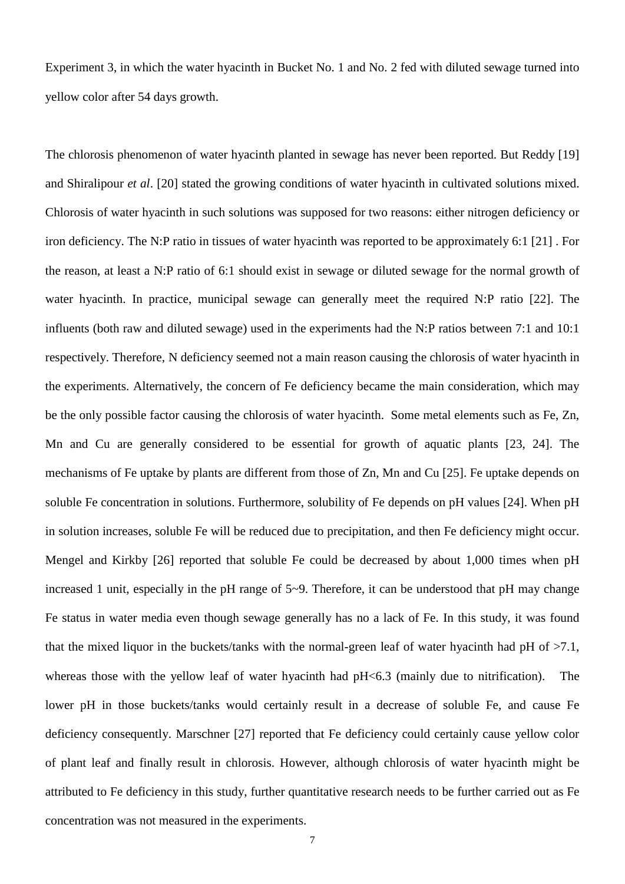Experiment 3, in which the water hyacinth in Bucket No. 1 and No. 2 fed with diluted sewage turned into yellow color after 54 days growth.

The chlorosis phenomenon of water hyacinth planted in sewage has never been reported. But Reddy [19] and Shiralipour *et al*. [20] stated the growing conditions of water hyacinth in cultivated solutions mixed. Chlorosis of water hyacinth in such solutions was supposed for two reasons: either nitrogen deficiency or iron deficiency. The N:P ratio in tissues of water hyacinth was reported to be approximately 6:1 [21] . For the reason, at least a N:P ratio of 6:1 should exist in sewage or diluted sewage for the normal growth of water hyacinth. In practice, municipal sewage can generally meet the required N:P ratio [22]. The influents (both raw and diluted sewage) used in the experiments had the N:P ratios between 7:1 and 10:1 respectively. Therefore, N deficiency seemed not a main reason causing the chlorosis of water hyacinth in the experiments. Alternatively, the concern of Fe deficiency became the main consideration, which may be the only possible factor causing the chlorosis of water hyacinth. Some metal elements such as Fe, Zn, Mn and Cu are generally considered to be essential for growth of aquatic plants [23, 24]. The mechanisms of Fe uptake by plants are different from those of Zn, Mn and Cu [25]. Fe uptake depends on soluble Fe concentration in solutions. Furthermore, solubility of Fe depends on pH values [24]. When pH in solution increases, soluble Fe will be reduced due to precipitation, and then Fe deficiency might occur. Mengel and Kirkby [26] reported that soluble Fe could be decreased by about 1,000 times when pH increased 1 unit, especially in the pH range of 5~9. Therefore, it can be understood that pH may change Fe status in water media even though sewage generally has no a lack of Fe. In this study, it was found that the mixed liquor in the buckets/tanks with the normal-green leaf of water hyacinth had pH of >7.1, whereas those with the yellow leaf of water hyacinth had  $pH<6.3$  (mainly due to nitrification). The lower pH in those buckets/tanks would certainly result in a decrease of soluble Fe, and cause Fe deficiency consequently. Marschner [27] reported that Fe deficiency could certainly cause yellow color of plant leaf and finally result in chlorosis. However, although chlorosis of water hyacinth might be attributed to Fe deficiency in this study, further quantitative research needs to be further carried out as Fe concentration was not measured in the experiments.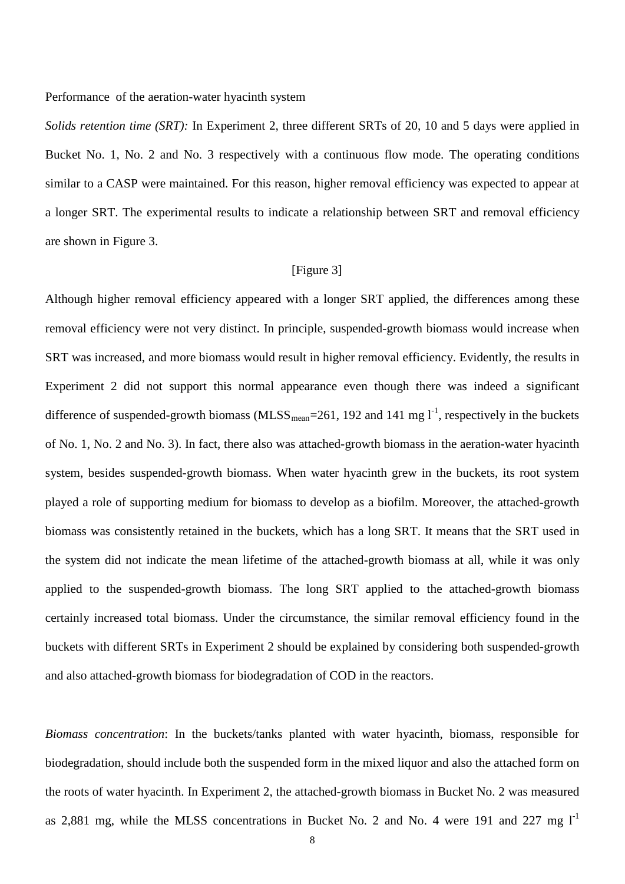#### Performance of the aeration-water hyacinth system

*Solids retention time (SRT):* In Experiment 2, three different SRTs of 20, 10 and 5 days were applied in Bucket No. 1, No. 2 and No. 3 respectively with a continuous flow mode. The operating conditions similar to a CASP were maintained. For this reason, higher removal efficiency was expected to appear at a longer SRT. The experimental results to indicate a relationship between SRT and removal efficiency are shown in Figure 3.

## [Figure 3]

Although higher removal efficiency appeared with a longer SRT applied, the differences among these removal efficiency were not very distinct. In principle, suspended-growth biomass would increase when SRT was increased, and more biomass would result in higher removal efficiency. Evidently, the results in Experiment 2 did not support this normal appearance even though there was indeed a significant difference of suspended-growth biomass (MLSS<sub>mean</sub>=261, 192 and 141 mg  $l^{-1}$ , respectively in the buckets of No. 1, No. 2 and No. 3). In fact, there also was attached-growth biomass in the aeration-water hyacinth system, besides suspended-growth biomass. When water hyacinth grew in the buckets, its root system played a role of supporting medium for biomass to develop as a biofilm. Moreover, the attached-growth biomass was consistently retained in the buckets, which has a long SRT. It means that the SRT used in the system did not indicate the mean lifetime of the attached-growth biomass at all, while it was only applied to the suspended-growth biomass. The long SRT applied to the attached-growth biomass certainly increased total biomass. Under the circumstance, the similar removal efficiency found in the buckets with different SRTs in Experiment 2 should be explained by considering both suspended-growth and also attached-growth biomass for biodegradation of COD in the reactors.

*Biomass concentration*: In the buckets/tanks planted with water hyacinth, biomass, responsible for biodegradation, should include both the suspended form in the mixed liquor and also the attached form on the roots of water hyacinth. In Experiment 2, the attached-growth biomass in Bucket No. 2 was measured as 2,881 mg, while the MLSS concentrations in Bucket No. 2 and No. 4 were 191 and 227 mg  $1<sup>-1</sup>$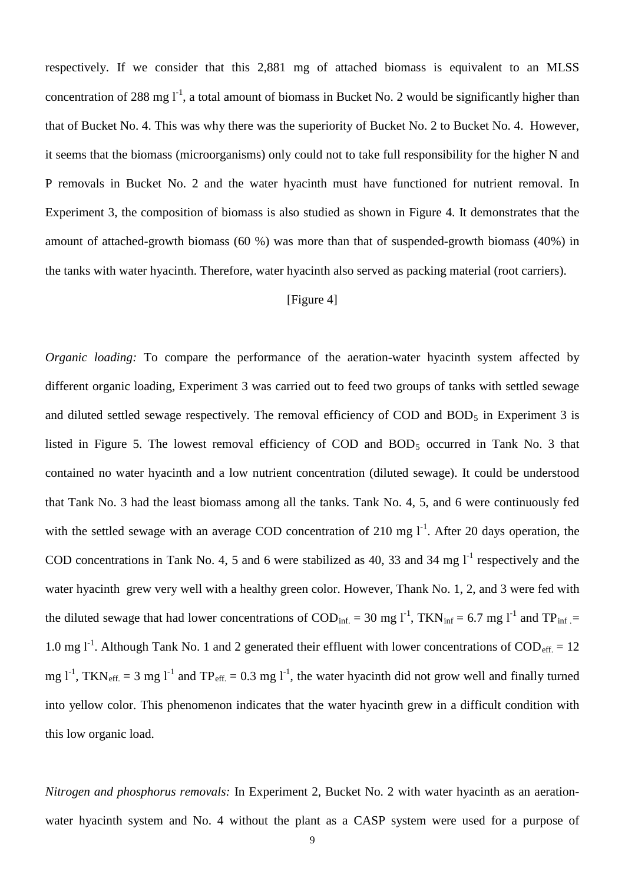respectively. If we consider that this 2,881 mg of attached biomass is equivalent to an MLSS concentration of 288 mg  $1^{-1}$ , a total amount of biomass in Bucket No. 2 would be significantly higher than that of Bucket No. 4. This was why there was the superiority of Bucket No. 2 to Bucket No. 4. However, it seems that the biomass (microorganisms) only could not to take full responsibility for the higher N and P removals in Bucket No. 2 and the water hyacinth must have functioned for nutrient removal. In Experiment 3, the composition of biomass is also studied as shown in Figure 4. It demonstrates that the amount of attached-growth biomass (60 %) was more than that of suspended-growth biomass (40%) in the tanks with water hyacinth. Therefore, water hyacinth also served as packing material (root carriers).

## [Figure 4]

*Organic loading:* To compare the performance of the aeration-water hyacinth system affected by different organic loading, Experiment 3 was carried out to feed two groups of tanks with settled sewage and diluted settled sewage respectively. The removal efficiency of COD and  $BOD<sub>5</sub>$  in Experiment 3 is listed in Figure 5. The lowest removal efficiency of COD and  $BOD<sub>5</sub>$  occurred in Tank No. 3 that contained no water hyacinth and a low nutrient concentration (diluted sewage). It could be understood that Tank No. 3 had the least biomass among all the tanks. Tank No. 4, 5, and 6 were continuously fed with the settled sewage with an average COD concentration of 210 mg  $I<sup>-1</sup>$ . After 20 days operation, the COD concentrations in Tank No. 4, 5 and 6 were stabilized as 40, 33 and 34 mg  $I<sup>-1</sup>$  respectively and the water hyacinth grew very well with a healthy green color. However, Thank No. 1, 2, and 3 were fed with the diluted sewage that had lower concentrations of  $\text{COD}_{\text{inf.}} = 30 \text{ mg l}^{-1}$ , TKN<sub>inf</sub> = 6.7 mg l<sup>-1</sup> and TP<sub>inf</sub> = 1.0 mg  $1^{-1}$ . Although Tank No. 1 and 2 generated their effluent with lower concentrations of COD<sub>eff.</sub> = 12 mg  $l^{-1}$ , TKN<sub>eff.</sub> = 3 mg  $l^{-1}$  and TP<sub>eff.</sub> = 0.3 mg  $l^{-1}$ , the water hyacinth did not grow well and finally turned into yellow color. This phenomenon indicates that the water hyacinth grew in a difficult condition with this low organic load.

*Nitrogen and phosphorus removals:* In Experiment 2, Bucket No. 2 with water hyacinth as an aerationwater hyacinth system and No. 4 without the plant as a CASP system were used for a purpose of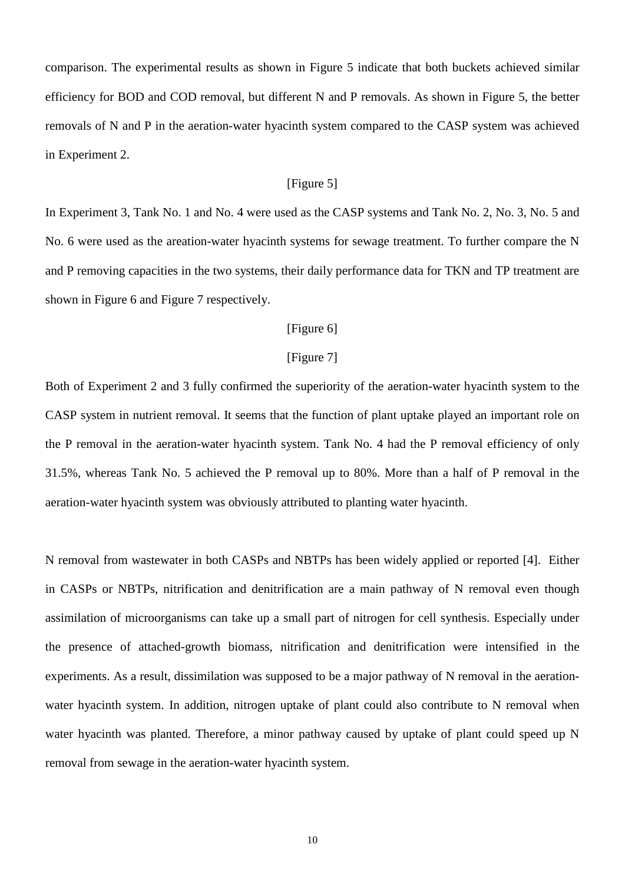comparison. The experimental results as shown in Figure 5 indicate that both buckets achieved similar efficiency for BOD and COD removal, but different N and P removals. As shown in Figure 5, the better removals of N and P in the aeration-water hyacinth system compared to the CASP system was achieved in Experiment 2.

## [Figure 5]

In Experiment 3, Tank No. 1 and No. 4 were used as the CASP systems and Tank No. 2, No. 3, No. 5 and No. 6 were used as the areation-water hyacinth systems for sewage treatment. To further compare the N and P removing capacities in the two systems, their daily performance data for TKN and TP treatment are shown in Figure 6 and Figure 7 respectively.

## [Figure 6]

### [Figure 7]

Both of Experiment 2 and 3 fully confirmed the superiority of the aeration-water hyacinth system to the CASP system in nutrient removal. It seems that the function of plant uptake played an important role on the P removal in the aeration-water hyacinth system. Tank No. 4 had the P removal efficiency of only 31.5%, whereas Tank No. 5 achieved the P removal up to 80%. More than a half of P removal in the aeration-water hyacinth system was obviously attributed to planting water hyacinth.

N removal from wastewater in both CASPs and NBTPs has been widely applied or reported [4]. Either in CASPs or NBTPs, nitrification and denitrification are a main pathway of N removal even though assimilation of microorganisms can take up a small part of nitrogen for cell synthesis. Especially under the presence of attached-growth biomass, nitrification and denitrification were intensified in the experiments. As a result, dissimilation was supposed to be a major pathway of N removal in the aerationwater hyacinth system. In addition, nitrogen uptake of plant could also contribute to N removal when water hyacinth was planted. Therefore, a minor pathway caused by uptake of plant could speed up N removal from sewage in the aeration-water hyacinth system.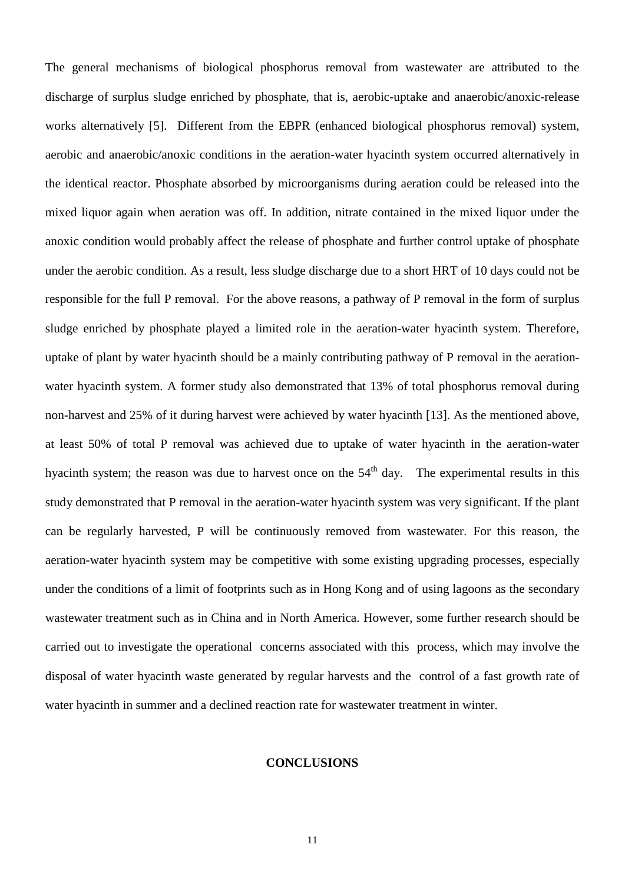The general mechanisms of biological phosphorus removal from wastewater are attributed to the discharge of surplus sludge enriched by phosphate, that is, aerobic-uptake and anaerobic/anoxic-release works alternatively [5]. Different from the EBPR (enhanced biological phosphorus removal) system, aerobic and anaerobic/anoxic conditions in the aeration-water hyacinth system occurred alternatively in the identical reactor. Phosphate absorbed by microorganisms during aeration could be released into the mixed liquor again when aeration was off. In addition, nitrate contained in the mixed liquor under the anoxic condition would probably affect the release of phosphate and further control uptake of phosphate under the aerobic condition. As a result, less sludge discharge due to a short HRT of 10 days could not be responsible for the full P removal. For the above reasons, a pathway of P removal in the form of surplus sludge enriched by phosphate played a limited role in the aeration-water hyacinth system. Therefore, uptake of plant by water hyacinth should be a mainly contributing pathway of P removal in the aerationwater hyacinth system. A former study also demonstrated that 13% of total phosphorus removal during non-harvest and 25% of it during harvest were achieved by water hyacinth [13]. As the mentioned above, at least 50% of total P removal was achieved due to uptake of water hyacinth in the aeration-water hyacinth system; the reason was due to harvest once on the  $54<sup>th</sup>$  day. The experimental results in this study demonstrated that P removal in the aeration-water hyacinth system was very significant. If the plant can be regularly harvested, P will be continuously removed from wastewater. For this reason, the aeration-water hyacinth system may be competitive with some existing upgrading processes, especially under the conditions of a limit of footprints such as in Hong Kong and of using lagoons as the secondary wastewater treatment such as in China and in North America. However, some further research should be carried out to investigate the operational concerns associated with this process, which may involve the disposal of water hyacinth waste generated by regular harvests and the control of a fast growth rate of water hyacinth in summer and a declined reaction rate for wastewater treatment in winter.

#### **CONCLUSIONS**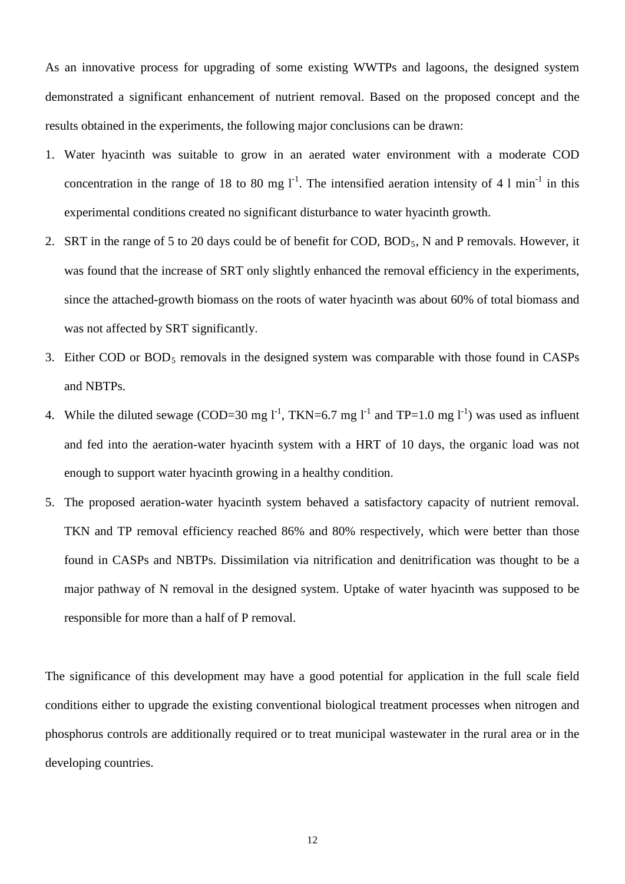As an innovative process for upgrading of some existing WWTPs and lagoons, the designed system demonstrated a significant enhancement of nutrient removal. Based on the proposed concept and the results obtained in the experiments, the following major conclusions can be drawn:

- 1. Water hyacinth was suitable to grow in an aerated water environment with a moderate COD concentration in the range of 18 to 80 mg  $I<sup>-1</sup>$ . The intensified aeration intensity of 4 l min<sup>-1</sup> in this experimental conditions created no significant disturbance to water hyacinth growth.
- 2. SRT in the range of 5 to 20 days could be of benefit for COD, BOD 5 , N and P removals. However, it was found that the increase of SRT only slightly enhanced the removal efficiency in the experiments, since the attached-growth biomass on the roots of water hyacinth was about 60% of total biomass and was not affected by SRT significantly.
- 3. Either COD or BOD 5 removals in the designed system was comparable with those found in CASPs and NBTPs.
- 4. While the diluted sewage (COD=30 mg  $l^1$ , TKN=6.7 mg  $l^1$  and TP=1.0 mg  $l^1$ ) was used as influent and fed into the aeration-water hyacinth system with a HRT of 10 days, the organic load was not enough to support water hyacinth growing in a healthy condition.
- 5. The proposed aeration-water hyacinth system behaved a satisfactory capacity of nutrient removal. TKN and TP removal efficiency reached 86% and 80% respectively, which were better than those found in CASPs and NBTPs. Dissimilation via nitrification and denitrification was thought to be a major pathway of N removal in the designed system. Uptake of water hyacinth was supposed to be responsible for more than a half of P removal.

The significance of this development may have a good potential for application in the full scale field conditions either to upgrade the existing conventional biological treatment processes when nitrogen and phosphorus controls are additionally required or to treat municipal wastewater in the rural area or in the developing countries.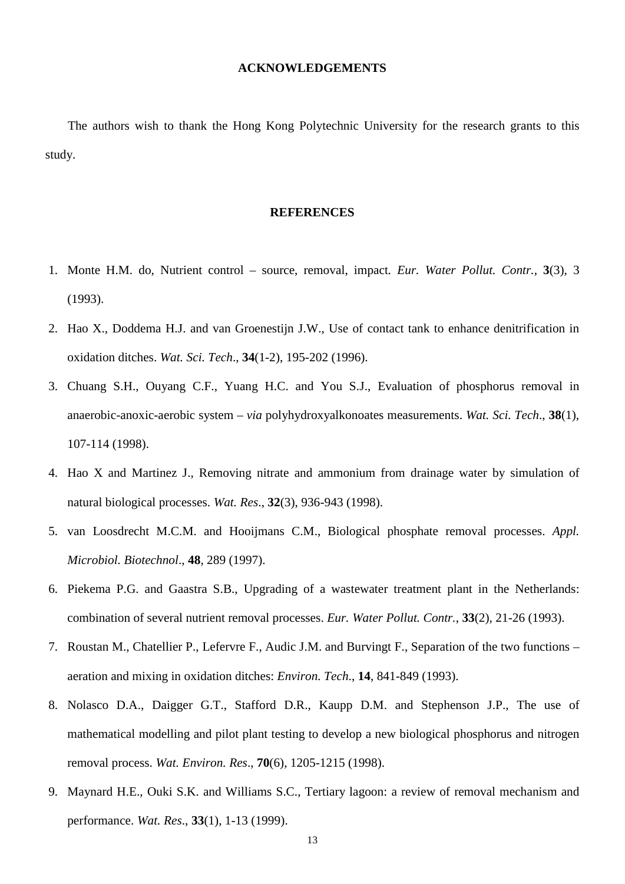#### **ACKNOWLEDGEMENTS**

The authors wish to thank the Hong Kong Polytechnic University for the research grants to this study.

#### **REFERENCES**

- 1. Monte H.M. do, Nutrient control source, removal, impact*. Eur. Water Pollut. Contr.*, **3**(3), 3 (1993).
- 2. Hao X., Doddema H.J. and van Groenestijn J.W., Use of contact tank to enhance denitrification in oxidation ditches. *Wat. Sci. Tech*., **34**(1-2), 195-202 (1996).
- 3. Chuang S.H., Ouyang C.F., Yuang H.C. and You S.J., Evaluation of phosphorus removal in anaerobic-anoxic-aerobic system – *via* polyhydroxyalkonoates measurements. *Wat. Sci. Tech*., **38**(1), 107-114 (1998).
- 4. Hao X and Martinez J., Removing nitrate and ammonium from drainage water by simulation of natural biological processes. *Wat. Res*., **32**(3), 936-943 (1998).
- 5. van Loosdrecht M.C.M. and Hooijmans C.M., Biological phosphate removal processes. *Appl. Microbiol. Biotechnol*., **48**, 289 (1997).
- 6. Piekema P.G. and Gaastra S.B., Upgrading of a wastewater treatment plant in the Netherlands: combination of several nutrient removal processes. *Eur. Water Pollut. Contr.*, **33**(2), 21-26 (1993).
- 7. Roustan M., Chatellier P., Lefervre F., Audic J.M. and Burvingt F., Separation of the two functions aeration and mixing in oxidation ditches: *Environ. Tech*., **14**, 841-849 (1993).
- 8. Nolasco D.A., Daigger G.T., Stafford D.R., Kaupp D.M. and Stephenson J.P., The use of mathematical modelling and pilot plant testing to develop a new biological phosphorus and nitrogen removal process. *Wat. Environ. Res*., **70**(6), 1205-1215 (1998).
- 9. Maynard H.E., Ouki S.K. and Williams S.C., Tertiary lagoon: a review of removal mechanism and performance. *Wat. Res*., **33**(1), 1-13 (1999).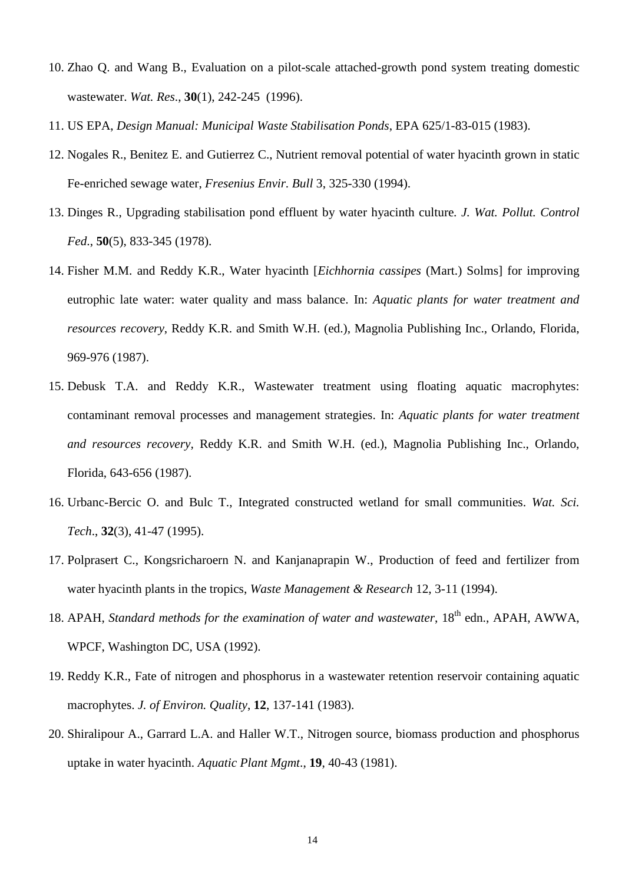- 10. Zhao Q. and Wang B., Evaluation on a pilot-scale attached-growth pond system treating domestic wastewater. *Wat. Res*., **30**(1), 242-245 (1996).
- 11. US EPA, *Design Manual: Municipal Waste Stabilisation Ponds*, EPA 625/1-83-015 (1983).
- 12. Nogales R., Benitez E. and Gutierrez C., Nutrient removal potential of water hyacinth grown in static Fe-enriched sewage water, *Fresenius Envir. Bull* 3, 325-330 (1994).
- 13. Dinges R., Upgrading stabilisation pond effluent by water hyacinth culture*. J. Wat. Pollut. Control Fed*., **50**(5), 833-345 (1978).
- 14. Fisher M.M. and Reddy K.R., Water hyacinth [*Eichhornia cassipes* (Mart.) Solms] for improving eutrophic late water: water quality and mass balance. In: *Aquatic plants for water treatment and resources recovery*, Reddy K.R. and Smith W.H. (ed.), Magnolia Publishing Inc., Orlando, Florida, 969-976 (1987).
- 15. Debusk T.A. and Reddy K.R., Wastewater treatment using floating aquatic macrophytes: contaminant removal processes and management strategies. In: *Aquatic plants for water treatment and resources recovery,* Reddy K.R. and Smith W.H. (ed.), Magnolia Publishing Inc., Orlando, Florida, 643-656 (1987).
- 16. Urbanc-Bercic O. and Bulc T., Integrated constructed wetland for small communities. *Wat. Sci. Tech*., **32**(3), 41-47 (1995).
- 17. Polprasert C., Kongsricharoern N. and Kanjanaprapin W., Production of feed and fertilizer from water hyacinth plants in the tropics, *Waste Management & Research* 12, 3-11 (1994).
- 18. APAH, Standard methods for the examination of water and wastewater, 18<sup>th</sup> edn., APAH, AWWA, WPCF, Washington DC, USA (1992).
- 19. Reddy K.R., Fate of nitrogen and phosphorus in a wastewater retention reservoir containing aquatic macrophytes. *J. of Environ. Quality*, **12**, 137-141 (1983).
- 20. Shiralipour A., Garrard L.A. and Haller W.T., Nitrogen source, biomass production and phosphorus uptake in water hyacinth. *Aquatic Plant Mgmt*., **19**, 40-43 (1981).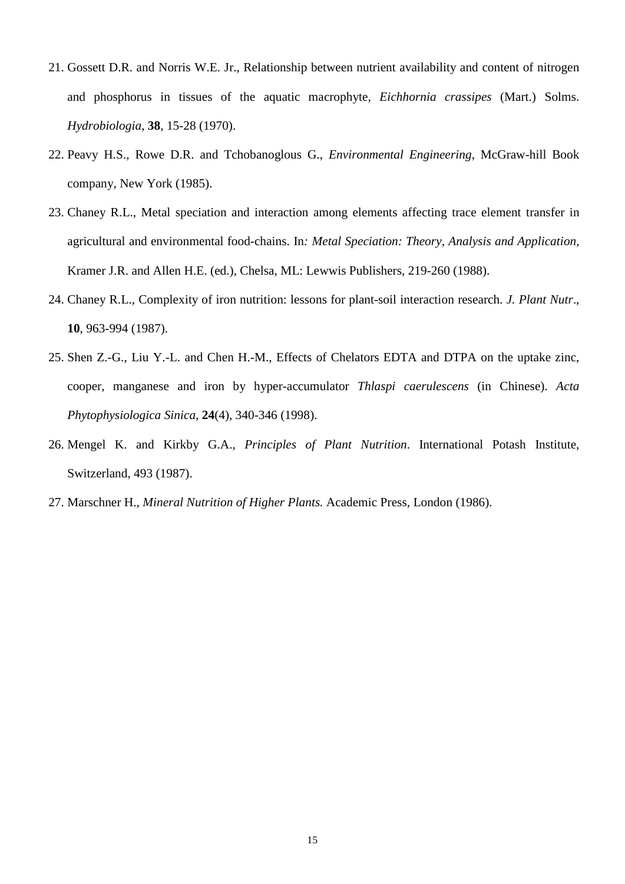- 21. Gossett D.R. and Norris W.E. Jr., Relationship between nutrient availability and content of nitrogen and phosphorus in tissues of the aquatic macrophyte*, Eichhornia crassipes* (Mart.) Solms. *Hydrobiologia*, **38**, 15-28 (1970).
- 22. Peavy H.S., Rowe D.R. and Tchobanoglous G., *Environmental Engineering*, McGraw-hill Book company, New York (1985).
- 23. Chaney R.L., Metal speciation and interaction among elements affecting trace element transfer in agricultural and environmental food-chains. In*: Metal Speciation: Theory, Analysis and Application,* Kramer J.R. and Allen H.E. (ed.), Chelsa, ML: Lewwis Publishers, 219-260 (1988).
- 24. Chaney R.L., Complexity of iron nutrition: lessons for plant-soil interaction research. *J. Plant Nutr*., **10**, 963-994 (1987).
- 25. Shen Z.-G., Liu Y.-L. and Chen H.-M., Effects of Chelators EDTA and DTPA on the uptake zinc, cooper, manganese and iron by hyper-accumulator *Thlaspi caerulescens* (in Chinese). *Acta Phytophysiologica Sinica*, **24**(4), 340-346 (1998).
- 26. Mengel K. and Kirkby G.A., *Principles of Plant Nutrition*. International Potash Institute, Switzerland, 493 (1987).
- 27. Marschner H., *Mineral Nutrition of Higher Plants.* Academic Press, London (1986).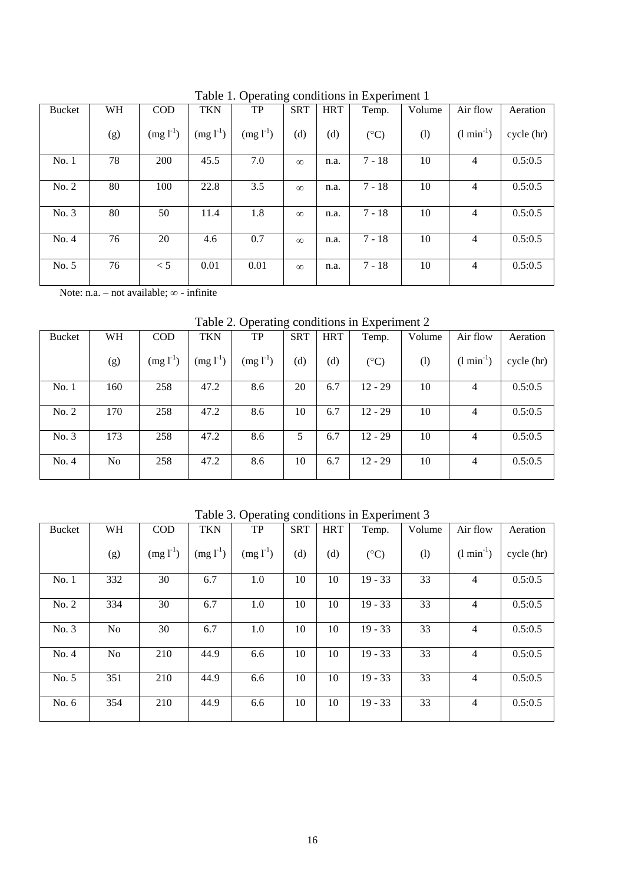|               |     |            |            | raore 1. Operating conditions in Experiment 1 |            |            |               |        |                 |            |
|---------------|-----|------------|------------|-----------------------------------------------|------------|------------|---------------|--------|-----------------|------------|
| <b>Bucket</b> | WH  | <b>COD</b> | <b>TKN</b> | <b>TP</b>                                     | <b>SRT</b> | <b>HRT</b> | Temp.         | Volume | Air flow        | Aeration   |
|               | (g) | $(mg l-1)$ | $(mg l-1)$ | $(mg l-1)$                                    | (d)        | (d)        | $(^{\circ}C)$ | (1)    | $(l \min^{-1})$ | cycle (hr) |
|               |     |            |            |                                               |            |            |               |        |                 |            |
| No. 1         | 78  | 200        | 45.5       | 7.0                                           | $\infty$   | n.a.       | $7 - 18$      | 10     | $\overline{4}$  | 0.5:0.5    |
| No. 2         | 80  | 100        | 22.8       | 3.5                                           | $\infty$   | n.a.       | $7 - 18$      | 10     | 4               | 0.5:0.5    |
| No. 3         | 80  | 50         | 11.4       | 1.8                                           | $\infty$   | n.a.       | $7 - 18$      | 10     | 4               | 0.5:0.5    |
| No. 4         | 76  | 20         | 4.6        | 0.7                                           | $\infty$   | n.a.       | $7 - 18$      | 10     | 4               | 0.5:0.5    |
| No. 5         | 76  | < 5        | 0.01       | 0.01                                          | $\infty$   | n.a.       | $7 - 18$      | 10     | 4               | 0.5:0.5    |

Table 1. Operating conditions in Experiment 1

Note: n.a. – not available; ∞ - infinite

Table 2. Operating conditions in Experiment 2

| <b>Bucket</b> | WH             | <b>COD</b>    | <b>TKN</b>    | TP            | <b>SRT</b> | <b>HRT</b> | Temp.         | Volume | Air flow        | Aeration   |
|---------------|----------------|---------------|---------------|---------------|------------|------------|---------------|--------|-----------------|------------|
|               | (g)            | $(mg l^{-1})$ | $(mg l^{-1})$ | $(mg 1^{-1})$ | (d)        | (d)        | $(^{\circ}C)$ | (1)    | $(l \min^{-1})$ | cycle (hr) |
| No. 1         | 160            | 258           | 47.2          | 8.6           | 20         | 6.7        | $12 - 29$     | 10     | 4               | 0.5:0.5    |
|               |                |               |               |               |            |            |               |        |                 |            |
| No. 2         | 170            | 258           | 47.2          | 8.6           | 10         | 6.7        | $12 - 29$     | 10     | 4               | 0.5:0.5    |
|               |                |               |               |               |            |            |               |        |                 |            |
| No. 3         | 173            | 258           | 47.2          | 8.6           | 5          | 6.7        | $12 - 29$     | 10     | 4               | 0.5:0.5    |
|               | N <sub>o</sub> | 258           | 47.2          |               | 10         | 6.7        | $12 - 29$     |        |                 |            |
| No. 4         |                |               |               | 8.6           |            |            |               | 10     | 4               | 0.5:0.5    |

Table 3. Operating conditions in Experiment 3

|               |                |               |               | л.            | ັ          |            |               |        |                 |            |
|---------------|----------------|---------------|---------------|---------------|------------|------------|---------------|--------|-----------------|------------|
| <b>Bucket</b> | WH             | <b>COD</b>    | <b>TKN</b>    | TP            | <b>SRT</b> | <b>HRT</b> | Temp.         | Volume | Air flow        | Aeration   |
|               | (g)            | $(mg l^{-1})$ | $(mg l^{-1})$ | $(mg l^{-1})$ | (d)        | (d)        | $(^{\circ}C)$ | (1)    | $(l \min^{-1})$ | cycle (hr) |
| No. 1         | 332            | 30            | 6.7           | 1.0           | 10         | 10         | $19 - 33$     | 33     | 4               | 0.5:0.5    |
| No. 2         | 334            | 30            | 6.7           | 1.0           | 10         | 10         | $19 - 33$     | 33     | 4               | 0.5:0.5    |
| No. 3         | N <sub>0</sub> | 30            | 6.7           | 1.0           | 10         | 10         | $19 - 33$     | 33     | 4               | 0.5:0.5    |
| No. 4         | N <sub>o</sub> | 210           | 44.9          | 6.6           | 10         | 10         | $19 - 33$     | 33     | 4               | 0.5:0.5    |
| No. 5         | 351            | 210           | 44.9          | 6.6           | 10         | 10         | $19 - 33$     | 33     | 4               | 0.5:0.5    |
| No. $6$       | 354            | 210           | 44.9          | 6.6           | 10         | 10         | $19 - 33$     | 33     | 4               | 0.5:0.5    |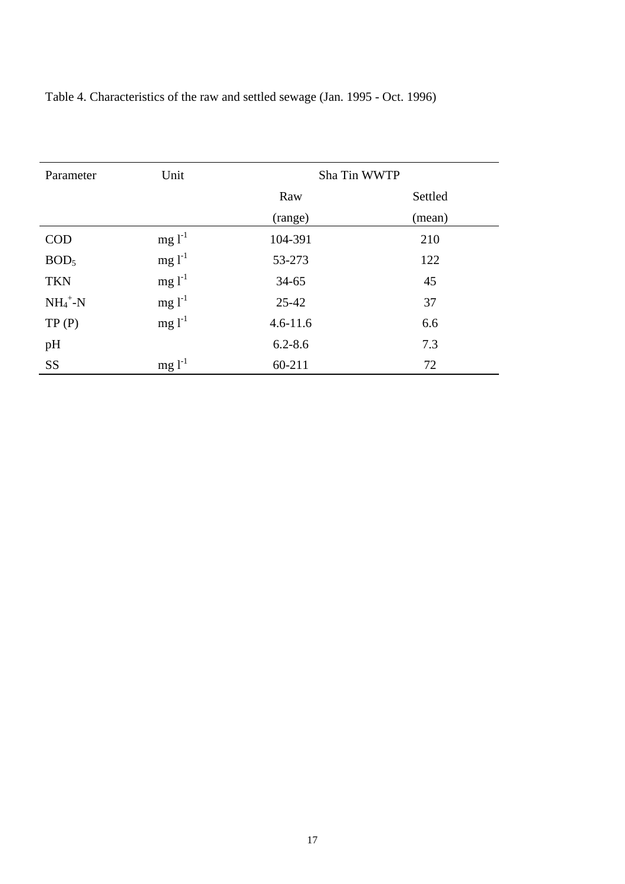| Parameter        | Unit        | Sha Tin WWTP |         |  |  |
|------------------|-------------|--------------|---------|--|--|
|                  |             | Raw          | Settled |  |  |
|                  |             | (range)      | (mean)  |  |  |
| <b>COD</b>       | $mg1^{-1}$  | 104-391      | 210     |  |  |
| BOD <sub>5</sub> | $mg l^{-1}$ | 53-273       | 122     |  |  |
| <b>TKN</b>       | $mg l^{-1}$ | $34 - 65$    | 45      |  |  |
| $NH_4^+$ -N      | $mg1^{-1}$  | $25 - 42$    | 37      |  |  |
| TP(P)            | $mg1^{-1}$  | $4.6 - 11.6$ | 6.6     |  |  |
| pH               |             | $6.2 - 8.6$  | 7.3     |  |  |
| <b>SS</b>        | $mg l^{-1}$ | $60 - 211$   | 72      |  |  |

Table 4. Characteristics of the raw and settled sewage (Jan. 1995 - Oct. 1996)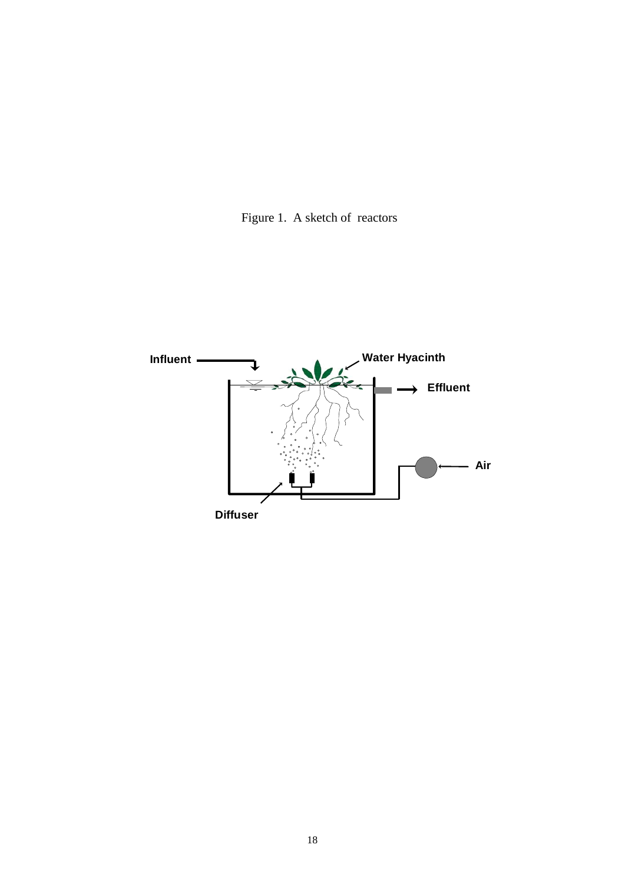

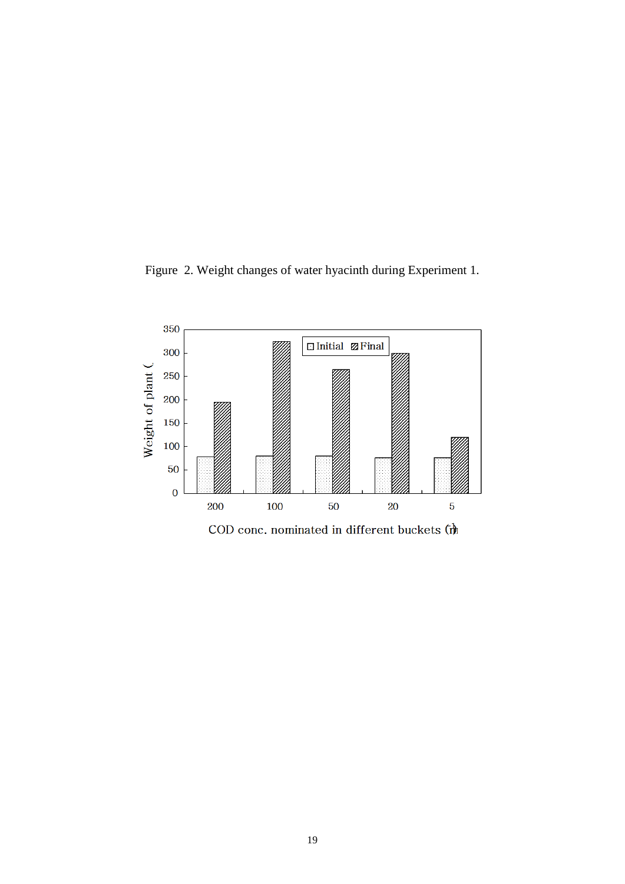



COD conc. nominated in different buckets  $(\boldsymbol{\hat{\theta}})$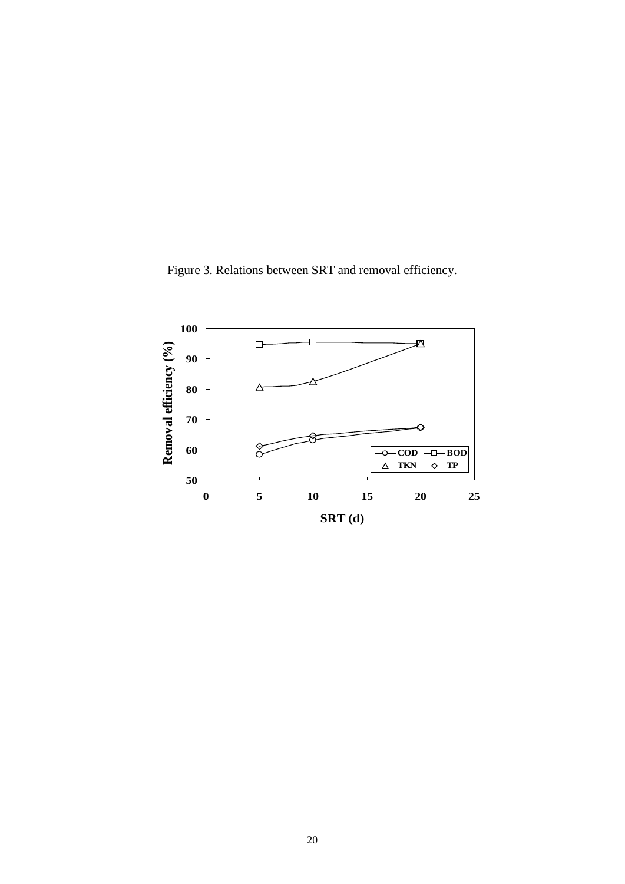Figure 3. Relations between SRT and removal efficiency.

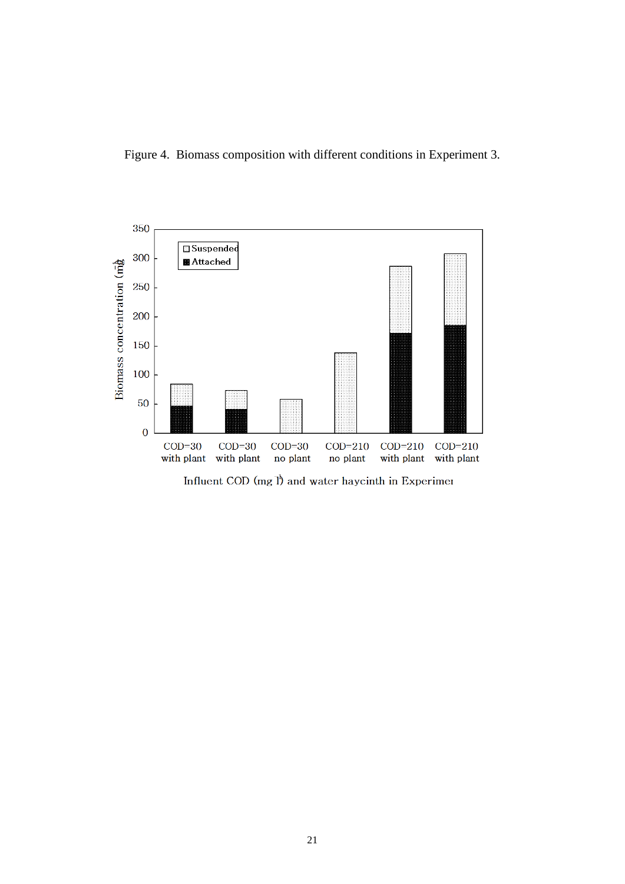



Influent COD (mg  $I$ ) and water haycinth in Experimen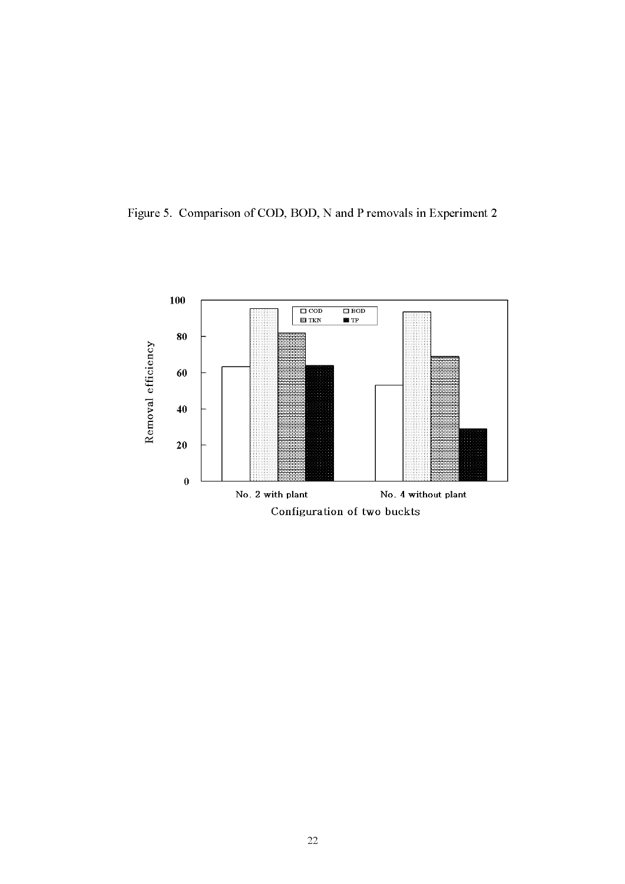Figure 5. Comparison of COD, BOD, N and P removals in Experiment 2

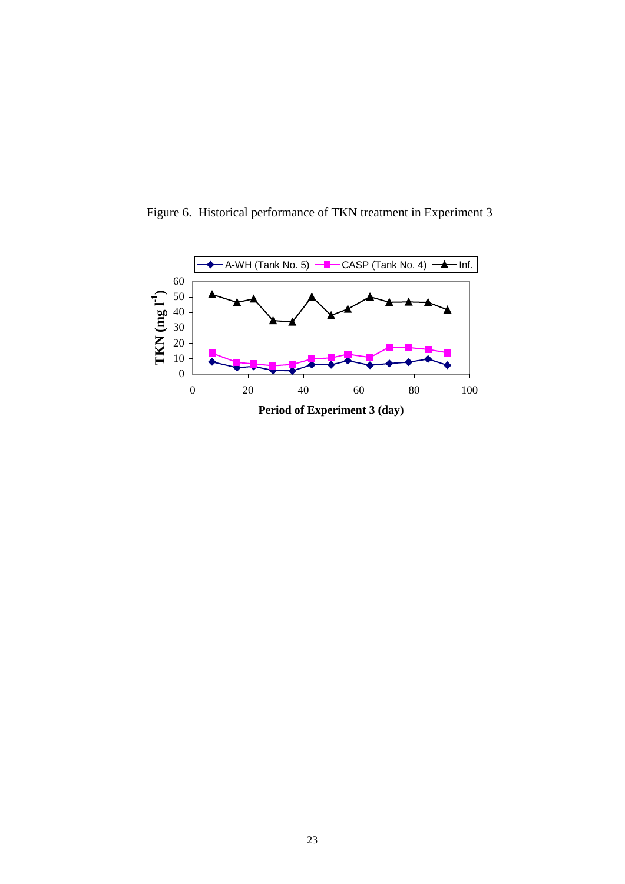

Figure 6. Historical performance of TKN treatment in Experiment 3